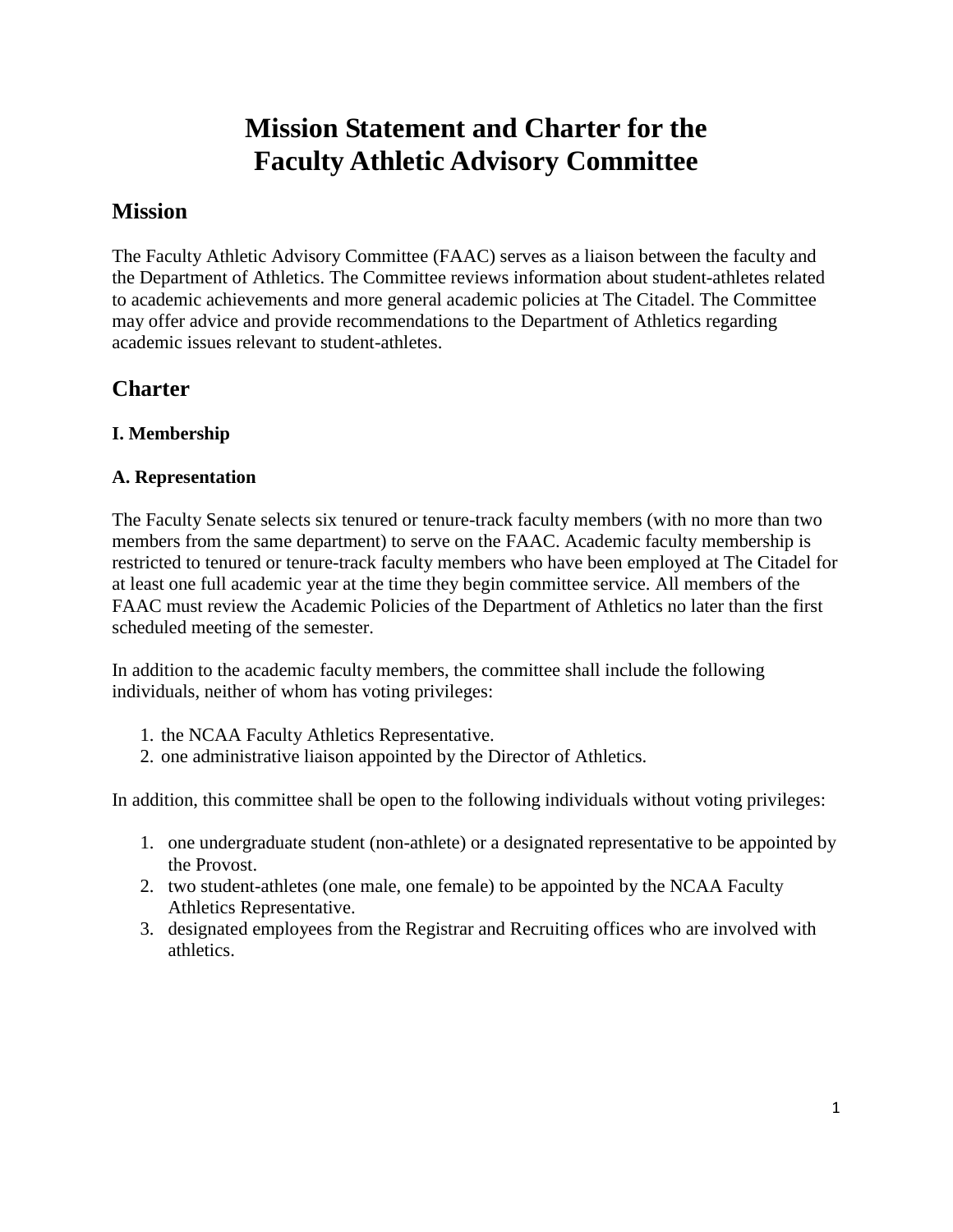# **Mission Statement and Charter for the Faculty Athletic Advisory Committee**

# **Mission**

The Faculty Athletic Advisory Committee (FAAC) serves as a liaison between the faculty and the Department of Athletics. The Committee reviews information about student-athletes related to academic achievements and more general academic policies at The Citadel. The Committee may offer advice and provide recommendations to the Department of Athletics regarding academic issues relevant to student-athletes.

# **Charter**

#### **I. Membership**

#### **A. Representation**

The Faculty Senate selects six tenured or tenure-track faculty members (with no more than two members from the same department) to serve on the FAAC. Academic faculty membership is restricted to tenured or tenure-track faculty members who have been employed at The Citadel for at least one full academic year at the time they begin committee service. All members of the FAAC must review the Academic Policies of the Department of Athletics no later than the first scheduled meeting of the semester.

In addition to the academic faculty members, the committee shall include the following individuals, neither of whom has voting privileges:

- 1. the NCAA Faculty Athletics Representative.
- 2. one administrative liaison appointed by the Director of Athletics.

In addition, this committee shall be open to the following individuals without voting privileges:

- 1. one undergraduate student (non-athlete) or a designated representative to be appointed by the Provost.
- 2. two student-athletes (one male, one female) to be appointed by the NCAA Faculty Athletics Representative.
- 3. designated employees from the Registrar and Recruiting offices who are involved with athletics.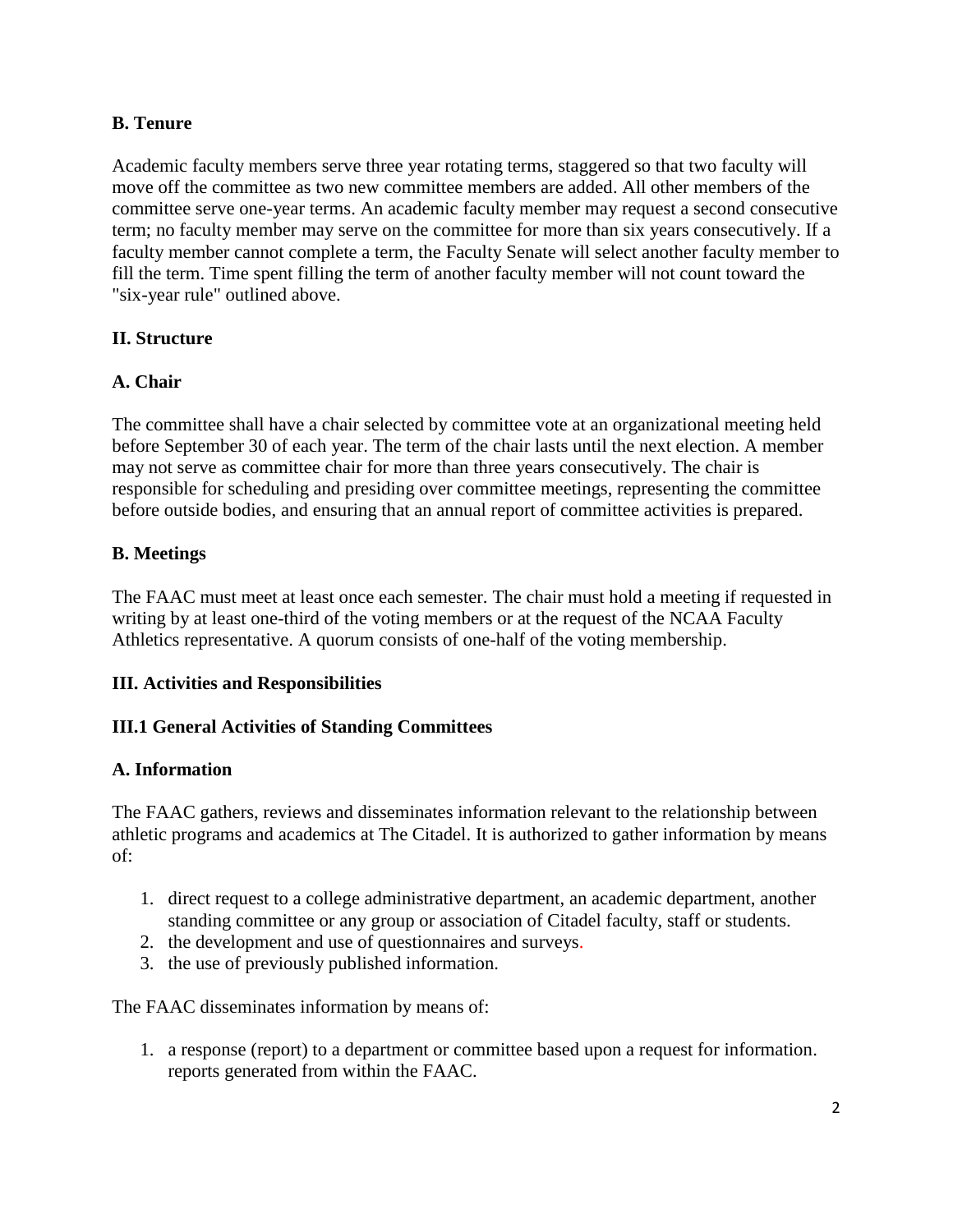#### **B. Tenure**

Academic faculty members serve three year rotating terms, staggered so that two faculty will move off the committee as two new committee members are added. All other members of the committee serve one-year terms. An academic faculty member may request a second consecutive term; no faculty member may serve on the committee for more than six years consecutively. If a faculty member cannot complete a term, the Faculty Senate will select another faculty member to fill the term. Time spent filling the term of another faculty member will not count toward the "six-year rule" outlined above.

#### **II. Structure**

#### **A. Chair**

The committee shall have a chair selected by committee vote at an organizational meeting held before September 30 of each year. The term of the chair lasts until the next election. A member may not serve as committee chair for more than three years consecutively. The chair is responsible for scheduling and presiding over committee meetings, representing the committee before outside bodies, and ensuring that an annual report of committee activities is prepared.

#### **B. Meetings**

The FAAC must meet at least once each semester. The chair must hold a meeting if requested in writing by at least one-third of the voting members or at the request of the NCAA Faculty Athletics representative. A quorum consists of one-half of the voting membership.

#### **III. Activities and Responsibilities**

#### **III.1 General Activities of Standing Committees**

#### **A. Information**

The FAAC gathers, reviews and disseminates information relevant to the relationship between athletic programs and academics at The Citadel. It is authorized to gather information by means of:

- 1. direct request to a college administrative department, an academic department, another standing committee or any group or association of Citadel faculty, staff or students.
- 2. the development and use of questionnaires and surveys.
- 3. the use of previously published information.

The FAAC disseminates information by means of:

1. a response (report) to a department or committee based upon a request for information. reports generated from within the FAAC.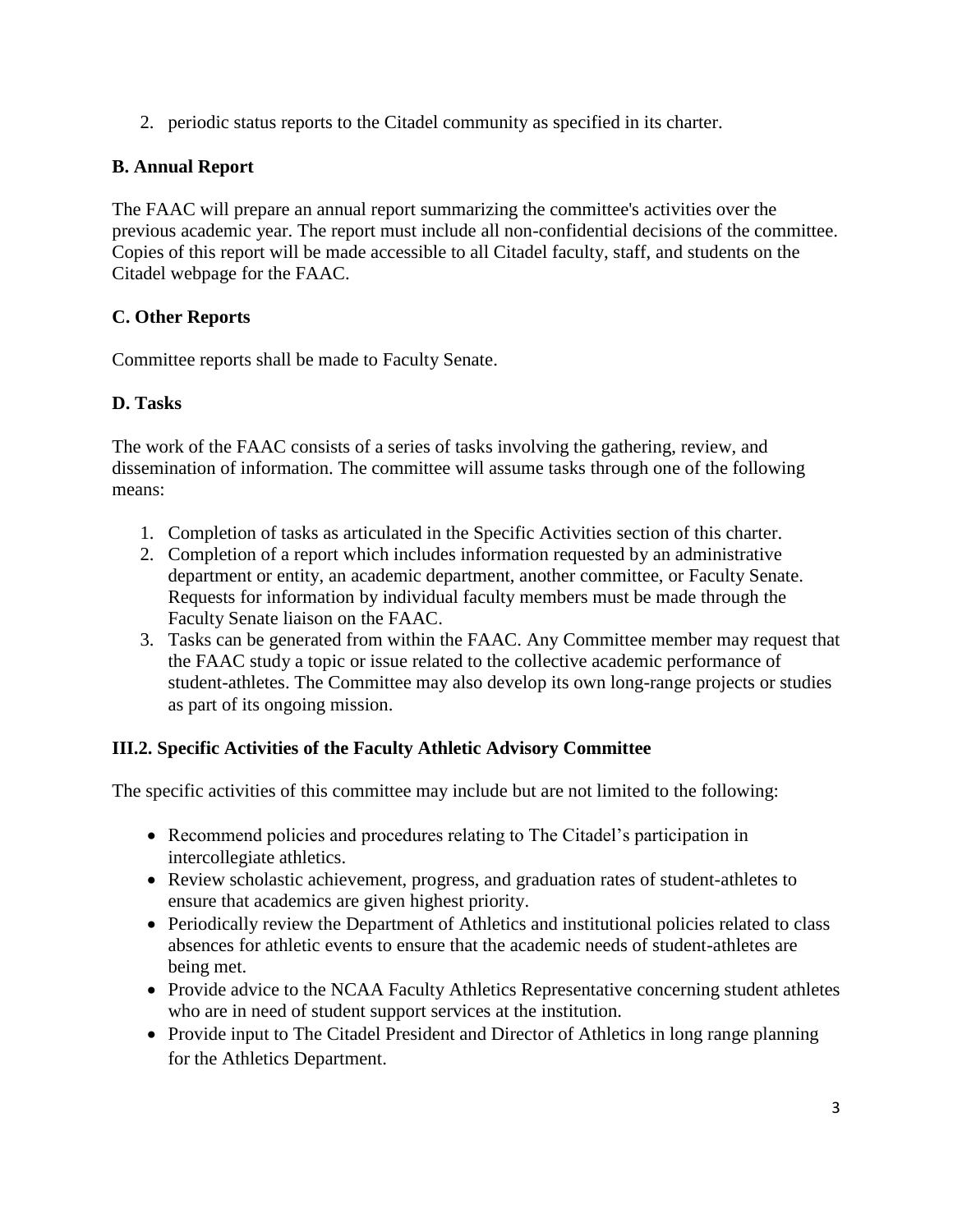2. periodic status reports to the Citadel community as specified in its charter.

## **B. Annual Report**

The FAAC will prepare an annual report summarizing the committee's activities over the previous academic year. The report must include all non-confidential decisions of the committee. Copies of this report will be made accessible to all Citadel faculty, staff, and students on the Citadel webpage for the FAAC.

# **C. Other Reports**

Committee reports shall be made to Faculty Senate.

# **D. Tasks**

The work of the FAAC consists of a series of tasks involving the gathering, review, and dissemination of information. The committee will assume tasks through one of the following means:

- 1. Completion of tasks as articulated in the Specific Activities section of this charter.
- 2. Completion of a report which includes information requested by an administrative department or entity, an academic department, another committee, or Faculty Senate. Requests for information by individual faculty members must be made through the Faculty Senate liaison on the FAAC.
- 3. Tasks can be generated from within the FAAC. Any Committee member may request that the FAAC study a topic or issue related to the collective academic performance of student-athletes. The Committee may also develop its own long-range projects or studies as part of its ongoing mission.

### **III.2. Specific Activities of the Faculty Athletic Advisory Committee**

The specific activities of this committee may include but are not limited to the following:

- Recommend policies and procedures relating to The Citadel's participation in intercollegiate athletics.
- Review scholastic achievement, progress, and graduation rates of student-athletes to ensure that academics are given highest priority.
- Periodically review the Department of Athletics and institutional policies related to class absences for athletic events to ensure that the academic needs of student-athletes are being met.
- Provide advice to the NCAA Faculty Athletics Representative concerning student athletes who are in need of student support services at the institution.
- Provide input to The Citadel President and Director of Athletics in long range planning for the Athletics Department.